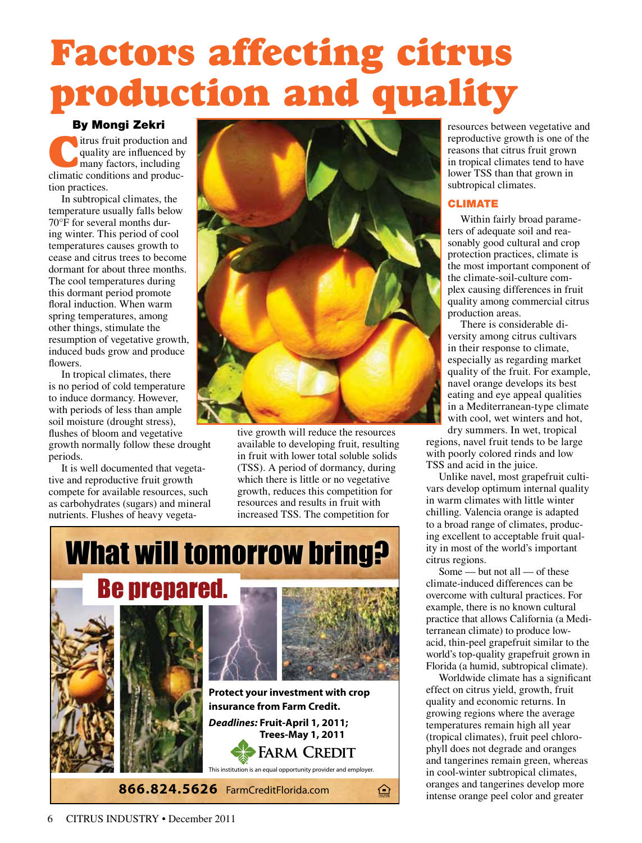## Factors affecting citrus production and quality

### By Mongi Zekri

litrus fruit production and quality are influenced by many factors, including climatic conditions and production practices.

In subtropical climates, the temperature usually falls below 70°F for several months during winter. This period of cool temperatures causes growth to cease and citrus trees to become dormant for about three months. The cool temperatures during this dormant period promote floral induction. When warm spring temperatures, among other things, stimulate the resumption of vegetative growth, induced buds grow and produce flowers.

In tropical climates, there is no period of cold temperature to induce dormancy. However, with periods of less than ample soil moisture (drought stress), flushes of bloom and vegetative growth normally follow these drought periods.

It is well documented that vegetative and reproductive fruit growth compete for available resources, such as carbohydrates (sugars) and mineral nutrients. Flushes of heavy vegeta-



tive growth will reduce the resources available to developing fruit, resulting in fruit with lower total soluble solids (TSS). A period of dormancy, during which there is little or no vegetative growth, reduces this competition for resources and results in fruit with increased TSS. The competition for



resources between vegetative and reproductive growth is one of the reasons that citrus fruit grown in tropical climates tend to have lower TSS than that grown in subtropical climates.

### CLIMATE

Within fairly broad parameters of adequate soil and reasonably good cultural and crop protection practices, climate is the most important component of the climate-soil-culture complex causing differences in fruit quality among commercial citrus production areas.

There is considerable diversity among citrus cultivars in their response to climate, especially as regarding market quality of the fruit. For example, navel orange develops its best eating and eye appeal qualities in a Mediterranean-type climate with cool, wet winters and hot,

dry summers. In wet, tropical regions, navel fruit tends to be large with poorly colored rinds and low TSS and acid in the juice.

Unlike navel, most grapefruit cultivars develop optimum internal quality in warm climates with little winter chilling. Valencia orange is adapted to a broad range of climates, producing excellent to acceptable fruit quality in most of the world's important citrus regions.

Some — but not all — of these climate-induced differences can be overcome with cultural practices. For example, there is no known cultural practice that allows California (a Mediterranean climate) to produce lowacid, thin-peel grapefruit similar to the world's top-quality grapefruit grown in Florida (a humid, subtropical climate).

Worldwide climate has a significant effect on citrus yield, growth, fruit quality and economic returns. In growing regions where the average temperatures remain high all year (tropical climates), fruit peel chlorophyll does not degrade and oranges and tangerines remain green, whereas in cool-winter subtropical climates, oranges and tangerines develop more intense orange peel color and greater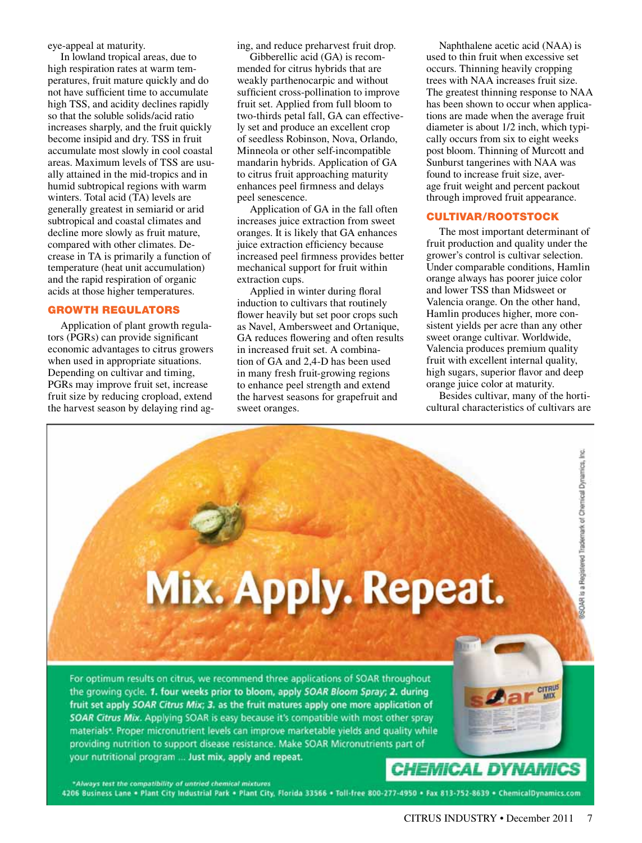eye-appeal at maturity.

In lowland tropical areas, due to high respiration rates at warm temperatures, fruit mature quickly and do not have sufficient time to accumulate high TSS, and acidity declines rapidly so that the soluble solids/acid ratio increases sharply, and the fruit quickly become insipid and dry. TSS in fruit accumulate most slowly in cool coastal areas. Maximum levels of TSS are usually attained in the mid-tropics and in humid subtropical regions with warm winters. Total acid (TA) levels are generally greatest in semiarid or arid subtropical and coastal climates and decline more slowly as fruit mature, compared with other climates. Decrease in TA is primarily a function of temperature (heat unit accumulation) and the rapid respiration of organic acids at those higher temperatures.

### GROWTH REGULATORS

Application of plant growth regulators (PGRs) can provide significant economic advantages to citrus growers when used in appropriate situations. Depending on cultivar and timing, PGRs may improve fruit set, increase fruit size by reducing cropload, extend the harvest season by delaying rind aging, and reduce preharvest fruit drop.

Gibberellic acid (GA) is recommended for citrus hybrids that are weakly parthenocarpic and without sufficient cross-pollination to improve fruit set. Applied from full bloom to two-thirds petal fall, GA can effectively set and produce an excellent crop of seedless Robinson, Nova, Orlando, Minneola or other self-incompatible mandarin hybrids. Application of GA to citrus fruit approaching maturity enhances peel firmness and delays peel senescence.

Application of GA in the fall often increases juice extraction from sweet oranges. It is likely that GA enhances juice extraction efficiency because increased peel firmness provides better mechanical support for fruit within extraction cups.

Applied in winter during floral induction to cultivars that routinely flower heavily but set poor crops such as Navel, Ambersweet and Ortanique, GA reduces flowering and often results in increased fruit set. A combination of GA and 2,4-D has been used in many fresh fruit-growing regions to enhance peel strength and extend the harvest seasons for grapefruit and sweet oranges.

Naphthalene acetic acid (NAA) is used to thin fruit when excessive set occurs. Thinning heavily cropping trees with NAA increases fruit size. The greatest thinning response to NAA has been shown to occur when applications are made when the average fruit diameter is about 1/2 inch, which typically occurs from six to eight weeks post bloom. Thinning of Murcott and Sunburst tangerines with NAA was found to increase fruit size, average fruit weight and percent packout through improved fruit appearance.

### CULTIVAR/ROOTSTOCK

The most important determinant of fruit production and quality under the grower's control is cultivar selection. Under comparable conditions, Hamlin orange always has poorer juice color and lower TSS than Midsweet or Valencia orange. On the other hand, Hamlin produces higher, more consistent yields per acre than any other sweet orange cultivar. Worldwide, Valencia produces premium quality fruit with excellent internal quality, high sugars, superior flavor and deep orange juice color at maturity.

Besides cultivar, many of the horticultural characteristics of cultivars are

SOAR is a Registered Trademark of Chemical Dynamics, Inc.

**CITRUS** 

# Mix. Apply. Repeat.

For optimum results on citrus, we recommend three applications of SOAR throughout the growing cycle. 1. four weeks prior to bloom, apply SOAR Bloom Spray; 2. during fruit set apply SOAR Citrus Mix; 3. as the fruit matures apply one more application of SOAR Citrus Mix. Applying SOAR is easy because it's compatible with most other spray materials<sup>\*</sup>. Proper micronutrient levels can improve marketable yields and quality while providing nutrition to support disease resistance. Make SOAR Micronutrients part of your nutritional program ... Just mix, apply and repeat.

**CHEMICAL DYNAMICS** 

\*Always test the compatibility of untried chemical mixtures 4206 Business Lane . Plant City Industrial Park . Plant City, Florida 33566 . Toll-free 800-277-4950 . Fax 813-752-8639 . ChemicalDynamics.com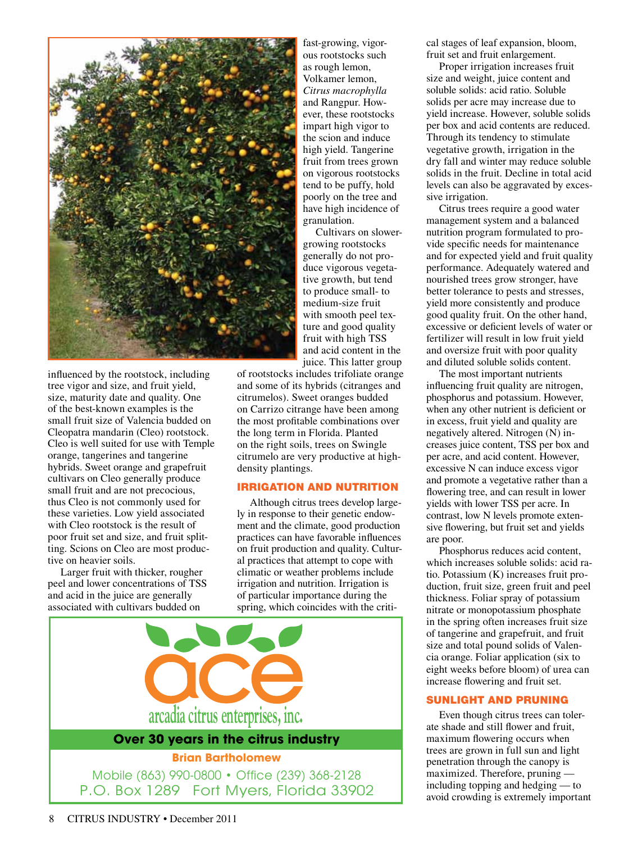

influenced by the rootstock, including tree vigor and size, and fruit yield, size, maturity date and quality. One of the best-known examples is the small fruit size of Valencia budded on Cleopatra mandarin (Cleo) rootstock. Cleo is well suited for use with Temple orange, tangerines and tangerine hybrids. Sweet orange and grapefruit cultivars on Cleo generally produce small fruit and are not precocious, thus Cleo is not commonly used for these varieties. Low yield associated with Cleo rootstock is the result of poor fruit set and size, and fruit splitting. Scions on Cleo are most productive on heavier soils.

Larger fruit with thicker, rougher peel and lower concentrations of TSS and acid in the juice are generally associated with cultivars budded on

fast-growing, vigorous rootstocks such as rough lemon, Volkamer lemon, *Citrus macrophylla* and Rangpur. However, these rootstocks impart high vigor to the scion and induce high yield. Tangerine fruit from trees grown on vigorous rootstocks tend to be puffy, hold poorly on the tree and have high incidence of granulation.

Cultivars on slowergrowing rootstocks generally do not produce vigorous vegetative growth, but tend to produce small- to medium-size fruit with smooth peel texture and good quality fruit with high TSS and acid content in the juice. This latter group

of rootstocks includes trifoliate orange and some of its hybrids (citranges and citrumelos). Sweet oranges budded on Carrizo citrange have been among the most profitable combinations over the long term in Florida. Planted on the right soils, trees on Swingle citrumelo are very productive at highdensity plantings.

### IRRIGATION AND NUTRITION

Although citrus trees develop largely in response to their genetic endowment and the climate, good production practices can have favorable influences on fruit production and quality. Cultural practices that attempt to cope with climatic or weather problems include irrigation and nutrition. Irrigation is of particular importance during the spring, which coincides with the criti-



cal stages of leaf expansion, bloom, fruit set and fruit enlargement.

Proper irrigation increases fruit size and weight, juice content and soluble solids: acid ratio. Soluble solids per acre may increase due to yield increase. However, soluble solids per box and acid contents are reduced. Through its tendency to stimulate vegetative growth, irrigation in the dry fall and winter may reduce soluble solids in the fruit. Decline in total acid levels can also be aggravated by excessive irrigation.

Citrus trees require a good water management system and a balanced nutrition program formulated to provide specific needs for maintenance and for expected yield and fruit quality performance. Adequately watered and nourished trees grow stronger, have better tolerance to pests and stresses, yield more consistently and produce good quality fruit. On the other hand, excessive or deficient levels of water or fertilizer will result in low fruit yield and oversize fruit with poor quality and diluted soluble solids content.

The most important nutrients influencing fruit quality are nitrogen, phosphorus and potassium. However, when any other nutrient is deficient or in excess, fruit yield and quality are negatively altered. Nitrogen (N) increases juice content, TSS per box and per acre, and acid content. However, excessive N can induce excess vigor and promote a vegetative rather than a flowering tree, and can result in lower yields with lower TSS per acre. In contrast, low N levels promote extensive flowering, but fruit set and yields are poor.

Phosphorus reduces acid content, which increases soluble solids: acid ratio. Potassium (K) increases fruit production, fruit size, green fruit and peel thickness. Foliar spray of potassium nitrate or monopotassium phosphate in the spring often increases fruit size of tangerine and grapefruit, and fruit size and total pound solids of Valencia orange. Foliar application (six to eight weeks before bloom) of urea can increase flowering and fruit set.

### SUNLIGHT AND PRUNING

Even though citrus trees can tolerate shade and still flower and fruit, maximum flowering occurs when trees are grown in full sun and light penetration through the canopy is maximized. Therefore, pruning including topping and hedging — to avoid crowding is extremely important